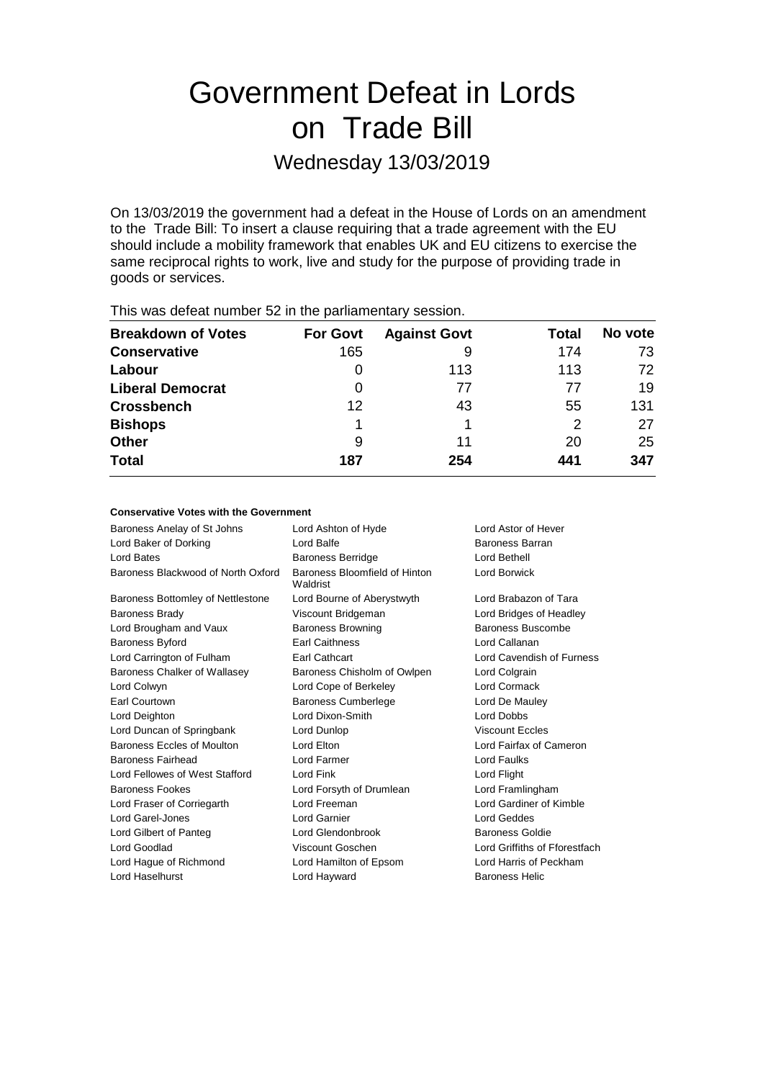# Government Defeat in Lords on Trade Bill

# Wednesday 13/03/2019

On 13/03/2019 the government had a defeat in the House of Lords on an amendment to the Trade Bill: To insert a clause requiring that a trade agreement with the EU should include a mobility framework that enables UK and EU citizens to exercise the same reciprocal rights to work, live and study for the purpose of providing trade in goods or services.

| THIS WAS ACTUALTIQUIDED OF ILL LITE PAILIANTICHIALLY SUSSION. |                 |                     |       |         |  |
|---------------------------------------------------------------|-----------------|---------------------|-------|---------|--|
| <b>Breakdown of Votes</b>                                     | <b>For Govt</b> | <b>Against Govt</b> | Total | No vote |  |
| <b>Conservative</b>                                           | 165             |                     | 174   | 73      |  |
| Labour                                                        | 0               | 113                 | 113   | 72      |  |
| <b>Liberal Democrat</b>                                       | 0               | 77                  | 77    | 19      |  |
| <b>Crossbench</b>                                             | 12              | 43                  | 55    | 131     |  |
| <b>Bishops</b>                                                | 1               |                     | 2     | 27      |  |
| <b>Other</b>                                                  | 9               | 11                  | 20    | 25      |  |
| <b>Total</b>                                                  | 187             | 254                 | 441   | 347     |  |
|                                                               |                 |                     |       |         |  |

This was defeat number 52 in the parliamentary session.

# **Conservative Votes with the Government**

| Baroness Anelay of St Johns<br>Lord Ashton of Hyde                              | Lord Astor of Hever           |
|---------------------------------------------------------------------------------|-------------------------------|
| Lord Balfe<br>Lord Baker of Dorking                                             | Baroness Barran               |
| Lord Bates<br><b>Baroness Berridge</b>                                          | Lord Bethell                  |
| Baroness Blackwood of North Oxford<br>Baroness Bloomfield of Hinton<br>Waldrist | Lord Borwick                  |
| Baroness Bottomley of Nettlestone<br>Lord Bourne of Aberystwyth                 | Lord Brabazon of Tara         |
| <b>Baroness Brady</b><br>Viscount Bridgeman                                     | Lord Bridges of Headley       |
| Lord Brougham and Vaux<br><b>Baroness Browning</b>                              | Baroness Buscombe             |
| <b>Earl Caithness</b><br><b>Baroness Byford</b>                                 | Lord Callanan                 |
| Lord Carrington of Fulham<br><b>Earl Cathcart</b>                               | Lord Cavendish of Furness     |
| Baroness Chalker of Wallasey<br>Baroness Chisholm of Owlpen                     | Lord Colgrain                 |
| Lord Cope of Berkeley<br>Lord Colwyn                                            | Lord Cormack                  |
| Earl Courtown<br><b>Baroness Cumberlege</b>                                     | Lord De Mauley                |
| Lord Dixon-Smith<br>Lord Deighton                                               | Lord Dobbs                    |
| Lord Duncan of Springbank<br>Lord Dunlop                                        | <b>Viscount Eccles</b>        |
| Baroness Eccles of Moulton<br>Lord Elton                                        | Lord Fairfax of Cameron       |
| Lord Farmer<br>Baroness Fairhead                                                | Lord Faulks                   |
| Lord Fellowes of West Stafford<br>Lord Fink                                     | Lord Flight                   |
| <b>Baroness Fookes</b><br>Lord Forsyth of Drumlean                              | Lord Framlingham              |
| Lord Freeman<br>Lord Fraser of Corriegarth                                      | Lord Gardiner of Kimble       |
| Lord Garel-Jones<br>Lord Garnier                                                | Lord Geddes                   |
| Lord Glendonbrook<br>Lord Gilbert of Panteg                                     | Baroness Goldie               |
| Lord Goodlad<br>Viscount Goschen                                                | Lord Griffiths of Fforestfach |
| Lord Hague of Richmond<br>Lord Hamilton of Epsom                                | Lord Harris of Peckham        |
| Lord Haselhurst<br>Lord Hayward                                                 | <b>Baroness Helic</b>         |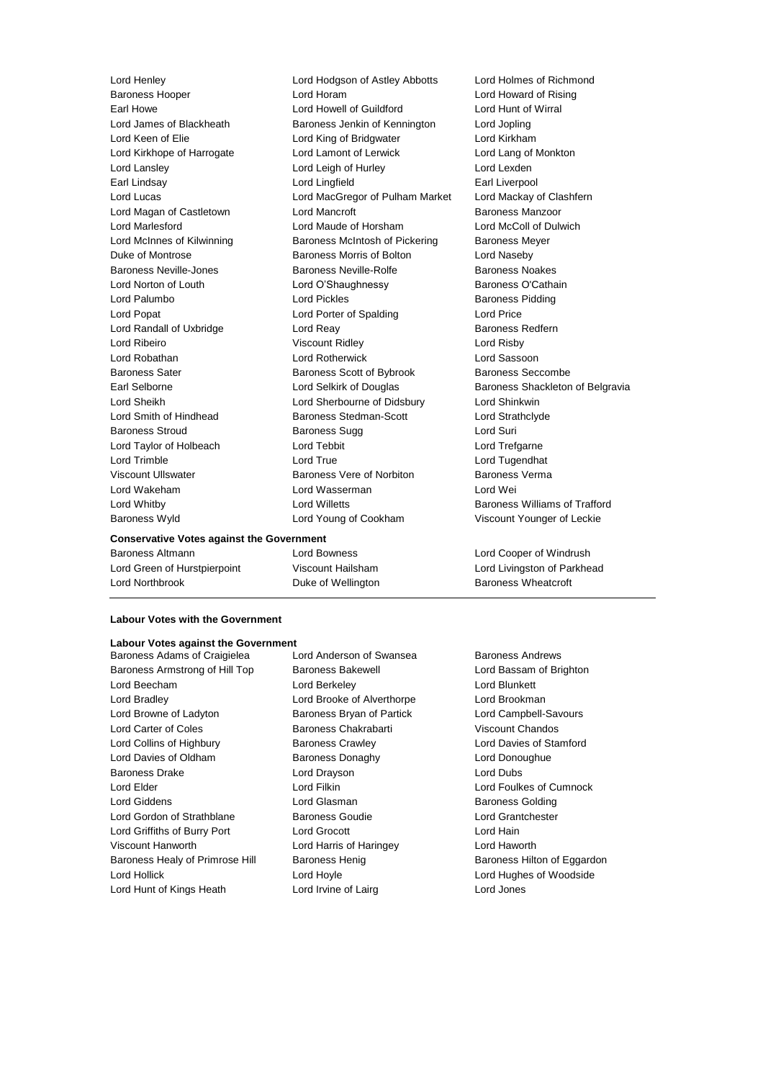Baroness Wyld Lord Young of Cookham Viscount Younger of Leckie

Lord Henley Lord Hodgson of Astley Abbotts Lord Holmes of Richmond Baroness Hooper Lord Horam Lord Howard of Rising Earl Howe Lord Howell of Guildford Lord Hunt of Wirral Lord James of Blackheath Baroness Jenkin of Kennington Lord Jopling Lord Keen of Elie Lord King of Bridgwater Lord Kirkham Lord Kirkhope of Harrogate Lord Lamont of Lerwick Lord Lang of Monkton Lord Lansley Lord Leigh of Hurley Lord Lexden Earl Lindsay **Lord Lingfield** Earl Liverpool Lord Lucas Lord MacGregor of Pulham Market Lord Mackay of Clashfern Lord Magan of Castletown Lord Mancroft **Baroness Manzoor** Lord Marlesford Lord Maude of Horsham Lord McColl of Dulwich Lord McInnes of Kilwinning **Baroness McIntosh of Pickering** Baroness Meyer Duke of Montrose **Baroness Morris of Bolton** Lord Naseby Baroness Neville-Jones **Baroness Neville-Rolfe** Baroness Neville-Baroness Noakes Lord Norton of Louth **Lord O'Shaughnessy** Baroness O'Cathain Lord Palumbo **Lord Pickles Baroness Pidding** Lord Popat **Lord Porter of Spalding Lord Price** Lord Randall of Uxbridge **Lord Reay Community** Lord Reay **Baroness Redfern** Lord Ribeiro Viscount Ridley Lord Risby Lord Robathan Lord Rotherwick Lord Sassoon Baroness Sater **Baroness Scott of Bybrook** Baroness Seccombe Lord Sheikh Lord Sherbourne of Didsbury Lord Shinkwin Lord Smith of Hindhead Baroness Stedman-Scott Lord Strathclyde Baroness Stroud **Baroness Sugg Community** Baroness Sugg **Lord Suri** Lord Taylor of Holbeach Lord Tebbit Lord Trefgarne Lord Trimble Lord True Lord Tugendhat Viscount Ullswater Baroness Vere of Norbiton Baroness Verma Lord Wakeham Lord Wasserman Lord Wei Lord Whitby Lord Willetts Baroness Williams of Trafford

# Earl Selborne **Lord Selkirk of Douglas** Baroness Shackleton of Belgravia

Baroness Altmann Lord Bowness Lord Cooper of Windrush Lord Green of Hurstpierpoint Viscount Hailsham Lord Livingston of Parkhead Lord Northbrook Duke of Wellington Baroness Wheatcroft

### **Labour Votes with the Government**

# **Labour Votes against the Government**

**Conservative Votes against the Government**

Baroness Adams of Craigielea Lord Anderson of Swansea Baroness Andrews Baroness Armstrong of Hill Top Baroness Bakewell Lord Bassam of Brighton Lord Beecham Lord Berkeley Lord Blunkett Lord Bradley Lord Brooke of Alverthorpe Lord Brookman Lord Browne of Ladyton Baroness Bryan of Partick Lord Campbell-Savours Lord Carter of Coles Baroness Chakrabarti Viscount Chandos Lord Collins of Highbury Baroness Crawley Lord Davies of Stamford Lord Davies of Oldham Baroness Donaghy Baroness Donaghue Baroness Drake Lord Drayson Lord Dubs Lord Elder Lord Filkin Lord Foulkes of Cumnock Lord Giddens Lord Glasman Baroness Golding Lord Gordon of Strathblane Baroness Goudie Lord Grantchester Lord Griffiths of Burry Port Lord Grocott Lord Hain Viscount Hanworth Lord Harris of Haringey Lord Haworth Baroness Healy of Primrose Hill Baroness Henig Baroness Hensen Baroness Hilton of Eggardon Lord Hollick Lord Hoyle Lord Hughes of Woodside Lord Hunt of Kings Heath Lord Irvine of Lairg Lord Jones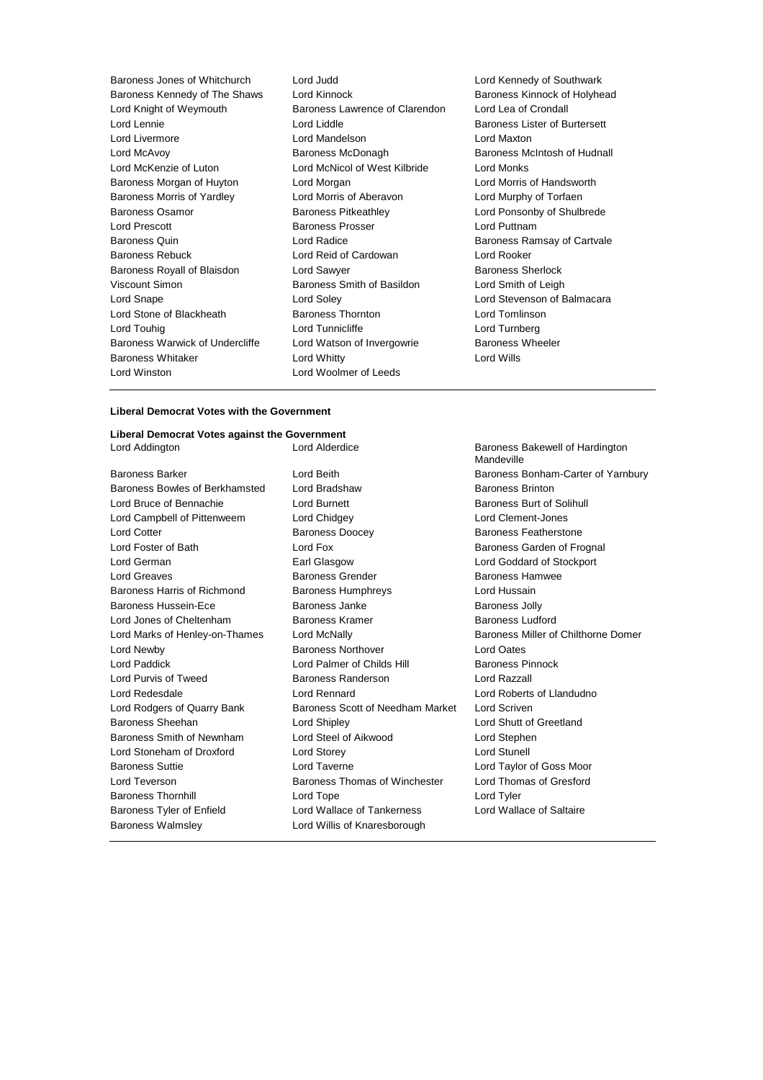| Baroness Jones of Whitchurch    | Lord Judd                      | Lord Kenned         |
|---------------------------------|--------------------------------|---------------------|
| Baroness Kennedy of The Shaws   | Lord Kinnock                   | <b>Baroness Kir</b> |
| Lord Knight of Weymouth         | Baroness Lawrence of Clarendon | Lord Lea of C       |
| Lord Lennie                     | Lord Liddle                    | <b>Baroness Lis</b> |
| Lord Livermore                  | Lord Mandelson                 | Lord Maxton         |
| Lord McAvoy                     | Baroness McDonagh              | <b>Baroness Mo</b>  |
| Lord McKenzie of Luton          | Lord McNicol of West Kilbride  | Lord Monks          |
| Baroness Morgan of Huyton       | Lord Morgan                    | Lord Morris c       |
| Baroness Morris of Yardley      | Lord Morris of Aberavon        | Lord Murphy         |
| <b>Baroness Osamor</b>          | <b>Baroness Pitkeathley</b>    | Lord Ponson         |
| Lord Prescott                   | <b>Baroness Prosser</b>        | Lord Puttnan        |
| <b>Baroness Quin</b>            | Lord Radice                    | <b>Baroness Ra</b>  |
| <b>Baroness Rebuck</b>          | Lord Reid of Cardowan          | Lord Rooker         |
| Baroness Royall of Blaisdon     | Lord Sawyer                    | <b>Baroness Sh</b>  |
| Viscount Simon                  | Baroness Smith of Basildon     | Lord Smith o        |
| Lord Snape                      | Lord Soley                     | <b>Lord Stevens</b> |
| Lord Stone of Blackheath        | <b>Baroness Thornton</b>       | <b>Lord Tomlins</b> |
| Lord Touhig                     | Lord Tunnicliffe               | <b>Lord Turnber</b> |
| Baroness Warwick of Undercliffe | Lord Watson of Invergowrie     | <b>Baroness WI</b>  |
| <b>Baroness Whitaker</b>        | Lord Whitty                    | Lord Wills          |
| Lord Winston                    | Lord Woolmer of Leeds          |                     |
|                                 |                                |                     |

Lord Kennedy of Southwark Baroness Kinnock of Holyhead Lord Lea of Crondall Baroness Lister of Burtersett Baroness McIntosh of Hudnall Lord Morris of Handsworth Lord Murphy of Torfaen Lord Ponsonby of Shulbrede Lord Puttnam Baroness Ramsay of Cartvale Lord Rooker Baroness Sherlock Lord Smith of Leigh Lord Stevenson of Balmacara Lord Tomlinson Lord Turnberg Baroness Wheeler

### **Liberal Democrat Votes with the Government**

**Liberal Democrat Votes against the Government**

Baroness Bowles of Berkhamsted Lord Bradshaw Baroness Brinton Lord Bruce of Bennachie **Lord Burnett** Lord Burnett **Baroness Burt of Solihull** Lord Campbell of Pittenweem Lord Chidgey Lord Clement-Jones Lord Cotter **Baroness Doocey** Baroness Doocey Baroness Featherstone Lord Foster of Bath **Lord Fox** Lord Fox **Baroness Garden of Frognal** Lord German Earl Glasgow Lord Goddard of Stockport Lord Greaves **Baroness Grender** Baroness Hamwee Baroness Hamwee Baroness Harris of Richmond Baroness Humphreys Lord Hussain Baroness Hussein-Ece **Baroness Janke** Baroness Jolly Lord Jones of Cheltenham Baroness Kramer Baroness Ludford Lord Newby Baroness Northover Lord Oates Lord Paddick **Lord Palmer of Childs Hill Baroness Pinnock** Lord Purvis of Tweed **Baroness Randerson Baroness Randerson** Lord Razzall Lord Redesdale Lord Rennard Lord Roberts of Llandudno Lord Rodgers of Quarry Bank Baroness Scott of Needham Market Lord Scriven Baroness Sheehan **Lord Shipley** Lord Shipley **Lord Shutt of Greetland** Baroness Smith of Newnham Lord Steel of Aikwood Lord Stephen Lord Stoneham of Droxford Lord Storey Lord Stunell Baroness Suttie Lord Taverne Lord Taylor of Goss Moor Lord Teverson **Baroness Thomas of Winchester** Lord Thomas of Gresford Baroness Thornhill **Lord Tope Lord Tope Lord Tyler** Baroness Tyler of Enfield Lord Wallace of Tankerness Lord Wallace of Saltaire Baroness Walmsley Lord Willis of Knaresborough

Baroness Bakewell of Hardington Mandeville Baroness Barker **Lord Beith** Exercise Baroness Bonham-Carter of Yarnbury Lord Marks of Henley-on-Thames Lord McNally Baroness Miller of Chilthorne Domer